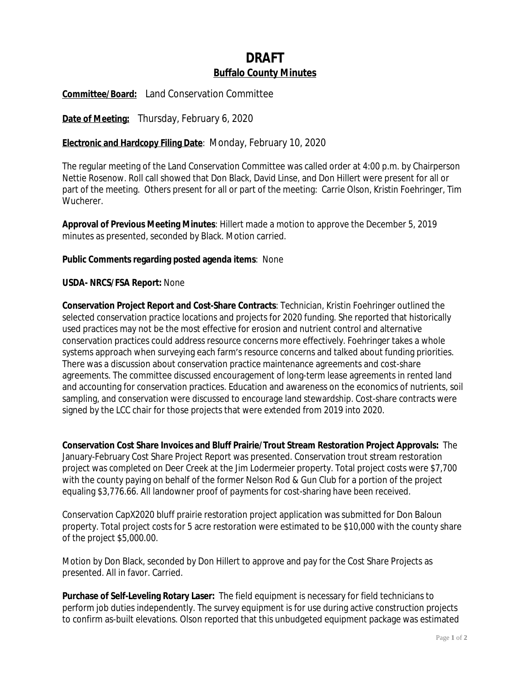# **DRAFT Buffalo County Minutes**

**Committee/Board:** Land Conservation Committee

**Date of Meeting:** Thursday, February 6, 2020

# **Electronic and Hardcopy Filing Date**: Monday, February 10, 2020

The regular meeting of the Land Conservation Committee was called order at 4:00 p.m. by Chairperson Nettie Rosenow. Roll call showed that Don Black, David Linse, and Don Hillert were present for all or part of the meeting. Others present for all or part of the meeting: Carrie Olson, Kristin Foehringer, Tim Wucherer.

**Approval of Previous Meeting Minutes**: Hillert made a motion to approve the December 5, 2019 minutes as presented, seconded by Black. Motion carried.

## **Public Comments regarding posted agenda items**: None

#### **USDA- NRCS/FSA Report:** None

**Conservation Project Report and Cost-Share Contracts**: Technician, Kristin Foehringer outlined the selected conservation practice locations and projects for 2020 funding. She reported that historically used practices may not be the most effective for erosion and nutrient control and alternative conservation practices could address resource concerns more effectively. Foehringer takes a whole systems approach when surveying each farm's resource concerns and talked about funding priorities. There was a discussion about conservation practice maintenance agreements and cost-share agreements. The committee discussed encouragement of long-term lease agreements in rented land and accounting for conservation practices. Education and awareness on the economics of nutrients, soil sampling, and conservation were discussed to encourage land stewardship. Cost-share contracts were signed by the LCC chair for those projects that were extended from 2019 into 2020.

**Conservation Cost Share Invoices and Bluff Prairie/Trout Stream Restoration Project Approvals:** The January-February Cost Share Project Report was presented. Conservation trout stream restoration project was completed on Deer Creek at the Jim Lodermeier property. Total project costs were \$7,700 with the county paying on behalf of the former Nelson Rod & Gun Club for a portion of the project equaling \$3,776.66. All landowner proof of payments for cost-sharing have been received.

Conservation CapX2020 bluff prairie restoration project application was submitted for Don Baloun property. Total project costs for 5 acre restoration were estimated to be \$10,000 with the county share of the project \$5,000.00.

Motion by Don Black, seconded by Don Hillert to approve and pay for the Cost Share Projects as presented. All in favor. Carried.

**Purchase of Self-Leveling Rotary Laser:** The field equipment is necessary for field technicians to perform job duties independently. The survey equipment is for use during active construction projects to confirm as-built elevations. Olson reported that this unbudgeted equipment package was estimated